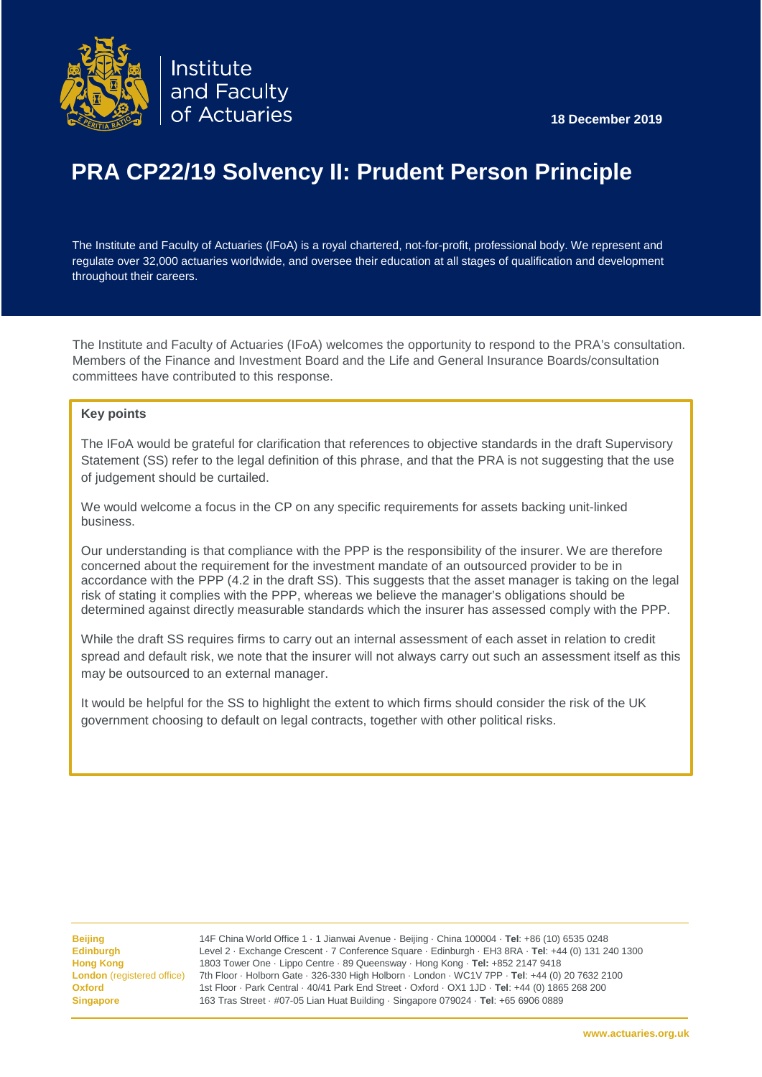![](_page_0_Picture_0.jpeg)

![](_page_0_Picture_1.jpeg)

# **PRA CP22/19 Solvency II: Prudent Person Principle**

The Institute and Faculty of Actuaries (IFoA) is a royal chartered, not-for-profit, professional body. We represent and regulate over 32,000 actuaries worldwide, and oversee their education at all stages of qualification and development throughout their careers.

The Institute and Faculty of Actuaries (IFoA) welcomes the opportunity to respond to the PRA's consultation. Members of the Finance and Investment Board and the Life and General Insurance Boards/consultation committees have contributed to this response.

# **Key points**

The IFoA would be grateful for clarification that references to objective standards in the draft Supervisory Statement (SS) refer to the legal definition of this phrase, and that the PRA is not suggesting that the use of judgement should be curtailed.

We would welcome a focus in the CP on any specific requirements for assets backing unit-linked business.

Our understanding is that compliance with the PPP is the responsibility of the insurer. We are therefore concerned about the requirement for the investment mandate of an outsourced provider to be in accordance with the PPP (4.2 in the draft SS). This suggests that the asset manager is taking on the legal risk of stating it complies with the PPP, whereas we believe the manager's obligations should be determined against directly measurable standards which the insurer has assessed comply with the PPP.

While the draft SS requires firms to carry out an internal assessment of each asset in relation to credit spread and default risk, we note that the insurer will not always carry out such an assessment itself as this may be outsourced to an external manager.

It would be helpful for the SS to highlight the extent to which firms should consider the risk of the UK government choosing to default on legal contracts, together with other political risks.

Ϊ

**Beijing** 14F China World Office 1 · 1 Jianwai Avenue · Beijing · China 100004 · **Tel**: +86 (10) 6535 0248 **Edinburgh** Level 2 · Exchange Crescent · 7 Conference Square · Edinburgh · EH3 8RA · **Tel**: +44 (0) 131 240 1300 **Hong Kong** 1803 Tower One · Lippo Centre · 89 Queensway · Hong Kong · **Tel:** +852 2147 9418 **London** (registered office) 7th Floor · Holborn Gate · 326-330 High Holborn · London · WC1V 7PP · **Tel**: +44 (0) 20 7632 2100 **Oxford** 1st Floor · Park Central · 40/41 Park End Street · Oxford · OX1 1JD · **Tel**: +44 (0) 1865 268 200 **Singapore** 163 Tras Street · #07-05 Lian Huat Building · Singapore 079024 · **Tel**: +65 6906 0889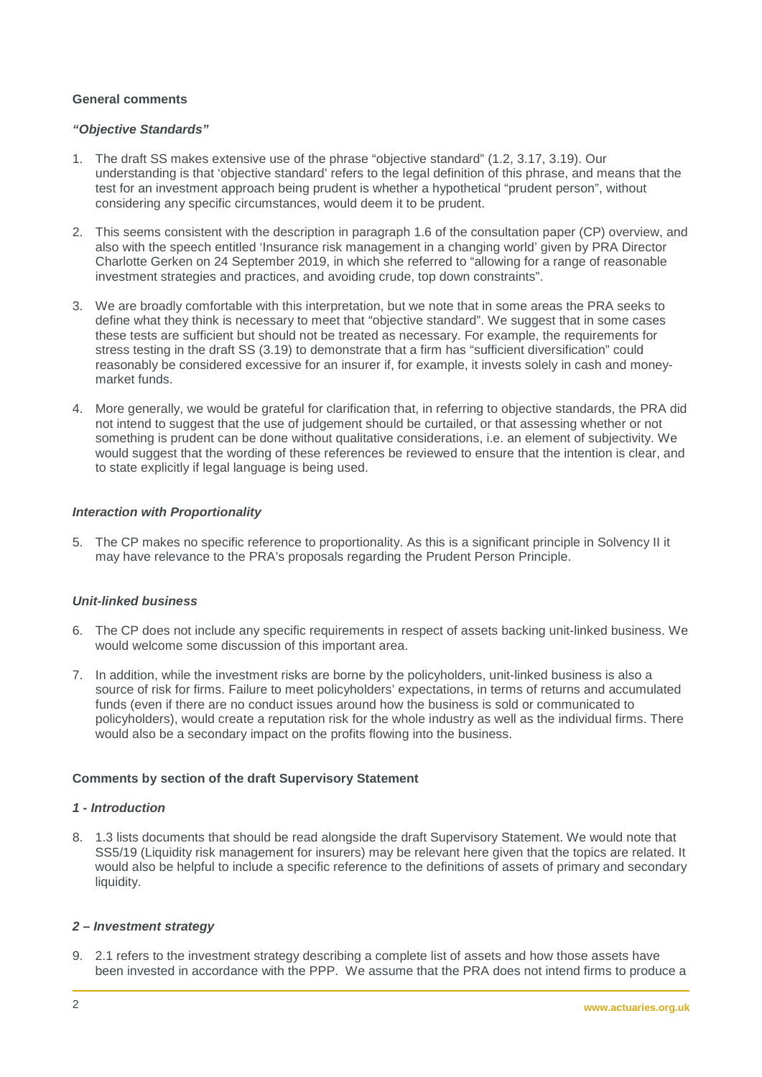## **General comments**

## *"Objective Standards"*

- 1. The draft SS makes extensive use of the phrase "objective standard" (1.2, 3.17, 3.19). Our understanding is that 'objective standard' refers to the legal definition of this phrase, and means that the test for an investment approach being prudent is whether a hypothetical "prudent person", without considering any specific circumstances, would deem it to be prudent.
- 2. This seems consistent with the description in paragraph 1.6 of the consultation paper (CP) overview, and also with the speech entitled 'Insurance risk management in a changing world' given by PRA Director Charlotte Gerken on 24 September 2019, in which she referred to "allowing for a range of reasonable investment strategies and practices, and avoiding crude, top down constraints".
- 3. We are broadly comfortable with this interpretation, but we note that in some areas the PRA seeks to define what they think is necessary to meet that "objective standard". We suggest that in some cases these tests are sufficient but should not be treated as necessary. For example, the requirements for stress testing in the draft SS (3.19) to demonstrate that a firm has "sufficient diversification" could reasonably be considered excessive for an insurer if, for example, it invests solely in cash and moneymarket funds.
- 4. More generally, we would be grateful for clarification that, in referring to objective standards, the PRA did not intend to suggest that the use of judgement should be curtailed, or that assessing whether or not something is prudent can be done without qualitative considerations, i.e. an element of subjectivity. We would suggest that the wording of these references be reviewed to ensure that the intention is clear, and to state explicitly if legal language is being used.

# *Interaction with Proportionality*

5. The CP makes no specific reference to proportionality. As this is a significant principle in Solvency II it may have relevance to the PRA's proposals regarding the Prudent Person Principle.

#### *Unit-linked business*

- 6. The CP does not include any specific requirements in respect of assets backing unit-linked business. We would welcome some discussion of this important area.
- 7. In addition, while the investment risks are borne by the policyholders, unit-linked business is also a source of risk for firms. Failure to meet policyholders' expectations, in terms of returns and accumulated funds (even if there are no conduct issues around how the business is sold or communicated to policyholders), would create a reputation risk for the whole industry as well as the individual firms. There would also be a secondary impact on the profits flowing into the business.

# **Comments by section of the draft Supervisory Statement**

## *1 - Introduction*

8. 1.3 lists documents that should be read alongside the draft Supervisory Statement. We would note that SS5/19 (Liquidity risk management for insurers) may be relevant here given that the topics are related. It would also be helpful to include a specific reference to the definitions of assets of primary and secondary liquidity.

#### *2 – Investment strategy*

9. 2.1 refers to the investment strategy describing a complete list of assets and how those assets have been invested in accordance with the PPP. We assume that the PRA does not intend firms to produce a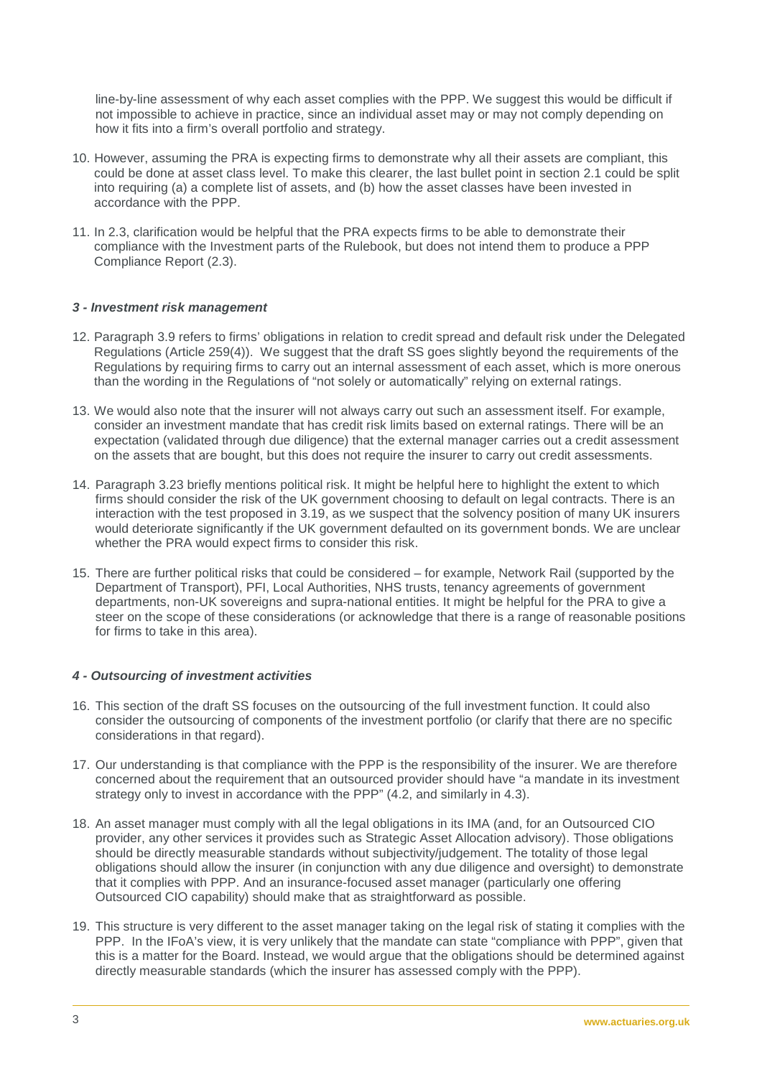line-by-line assessment of why each asset complies with the PPP. We suggest this would be difficult if not impossible to achieve in practice, since an individual asset may or may not comply depending on how it fits into a firm's overall portfolio and strategy.

- 10. However, assuming the PRA is expecting firms to demonstrate why all their assets are compliant, this could be done at asset class level. To make this clearer, the last bullet point in section 2.1 could be split into requiring (a) a complete list of assets, and (b) how the asset classes have been invested in accordance with the PPP.
- 11. In 2.3, clarification would be helpful that the PRA expects firms to be able to demonstrate their compliance with the Investment parts of the Rulebook, but does not intend them to produce a PPP Compliance Report (2.3).

## *3 - Investment risk management*

- 12. Paragraph 3.9 refers to firms' obligations in relation to credit spread and default risk under the Delegated Regulations (Article 259(4)). We suggest that the draft SS goes slightly beyond the requirements of the Regulations by requiring firms to carry out an internal assessment of each asset, which is more onerous than the wording in the Regulations of "not solely or automatically" relying on external ratings.
- 13. We would also note that the insurer will not always carry out such an assessment itself. For example, consider an investment mandate that has credit risk limits based on external ratings. There will be an expectation (validated through due diligence) that the external manager carries out a credit assessment on the assets that are bought, but this does not require the insurer to carry out credit assessments.
- 14. Paragraph 3.23 briefly mentions political risk. It might be helpful here to highlight the extent to which firms should consider the risk of the UK government choosing to default on legal contracts. There is an interaction with the test proposed in 3.19, as we suspect that the solvency position of many UK insurers would deteriorate significantly if the UK government defaulted on its government bonds. We are unclear whether the PRA would expect firms to consider this risk.
- 15. There are further political risks that could be considered for example, Network Rail (supported by the Department of Transport), PFI, Local Authorities, NHS trusts, tenancy agreements of government departments, non-UK sovereigns and supra-national entities. It might be helpful for the PRA to give a steer on the scope of these considerations (or acknowledge that there is a range of reasonable positions for firms to take in this area).

#### *4 - Outsourcing of investment activities*

- 16. This section of the draft SS focuses on the outsourcing of the full investment function. It could also consider the outsourcing of components of the investment portfolio (or clarify that there are no specific considerations in that regard).
- 17. Our understanding is that compliance with the PPP is the responsibility of the insurer. We are therefore concerned about the requirement that an outsourced provider should have "a mandate in its investment strategy only to invest in accordance with the PPP" (4.2, and similarly in 4.3).
- 18. An asset manager must comply with all the legal obligations in its IMA (and, for an Outsourced CIO provider, any other services it provides such as Strategic Asset Allocation advisory). Those obligations should be directly measurable standards without subjectivity/judgement. The totality of those legal obligations should allow the insurer (in conjunction with any due diligence and oversight) to demonstrate that it complies with PPP. And an insurance-focused asset manager (particularly one offering Outsourced CIO capability) should make that as straightforward as possible.
- 19. This structure is very different to the asset manager taking on the legal risk of stating it complies with the PPP. In the IFoA's view, it is very unlikely that the mandate can state "compliance with PPP", given that this is a matter for the Board. Instead, we would argue that the obligations should be determined against directly measurable standards (which the insurer has assessed comply with the PPP).